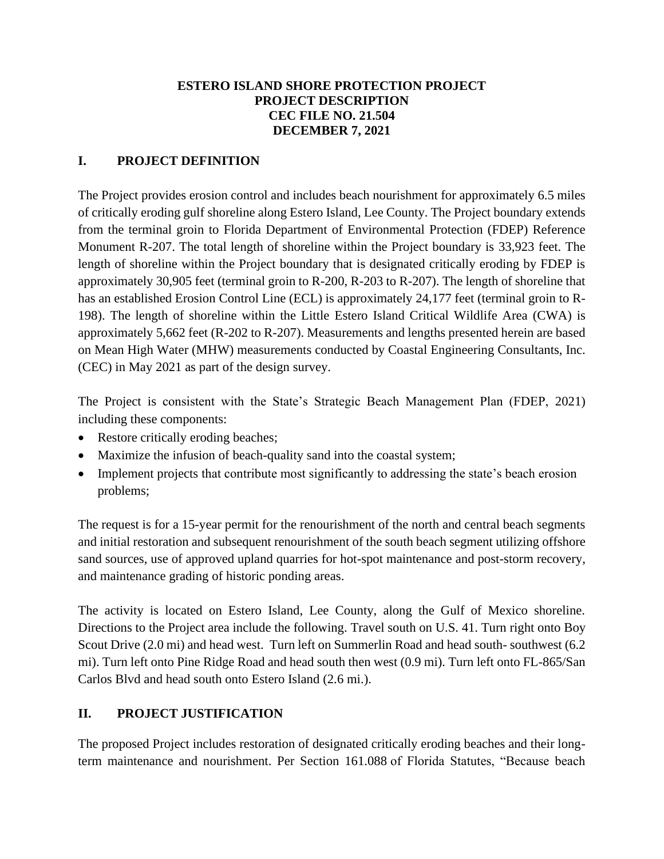### **ESTERO ISLAND SHORE PROTECTION PROJECT PROJECT DESCRIPTION CEC FILE NO. 21.504 DECEMBER 7, 2021**

## **I. PROJECT DEFINITION**

The Project provides erosion control and includes beach nourishment for approximately 6.5 miles of critically eroding gulf shoreline along Estero Island, Lee County. The Project boundary extends from the terminal groin to Florida Department of Environmental Protection (FDEP) Reference Monument R-207. The total length of shoreline within the Project boundary is 33,923 feet. The length of shoreline within the Project boundary that is designated critically eroding by FDEP is approximately 30,905 feet (terminal groin to R-200, R-203 to R-207). The length of shoreline that has an established Erosion Control Line (ECL) is approximately 24,177 feet (terminal groin to R-198). The length of shoreline within the Little Estero Island Critical Wildlife Area (CWA) is approximately 5,662 feet (R-202 to R-207). Measurements and lengths presented herein are based on Mean High Water (MHW) measurements conducted by Coastal Engineering Consultants, Inc. (CEC) in May 2021 as part of the design survey.

The Project is consistent with the State's Strategic Beach Management Plan (FDEP, 2021) including these components:

- Restore critically eroding beaches;
- Maximize the infusion of beach-quality sand into the coastal system;
- Implement projects that contribute most significantly to addressing the state's beach erosion problems;

The request is for a 15-year permit for the renourishment of the north and central beach segments and initial restoration and subsequent renourishment of the south beach segment utilizing offshore sand sources, use of approved upland quarries for hot-spot maintenance and post-storm recovery, and maintenance grading of historic ponding areas.

The activity is located on Estero Island, Lee County, along the Gulf of Mexico shoreline. Directions to the Project area include the following. Travel south on U.S. 41. Turn right onto Boy Scout Drive (2.0 mi) and head west. Turn left on Summerlin Road and head south-southwest (6.2) mi). Turn left onto Pine Ridge Road and head south then west (0.9 mi). Turn left onto FL-865/San Carlos Blvd and head south onto Estero Island (2.6 mi.).

# **II. PROJECT JUSTIFICATION**

The proposed Project includes restoration of designated critically eroding beaches and their longterm maintenance and nourishment. Per Section 161.088 of Florida Statutes, "Because beach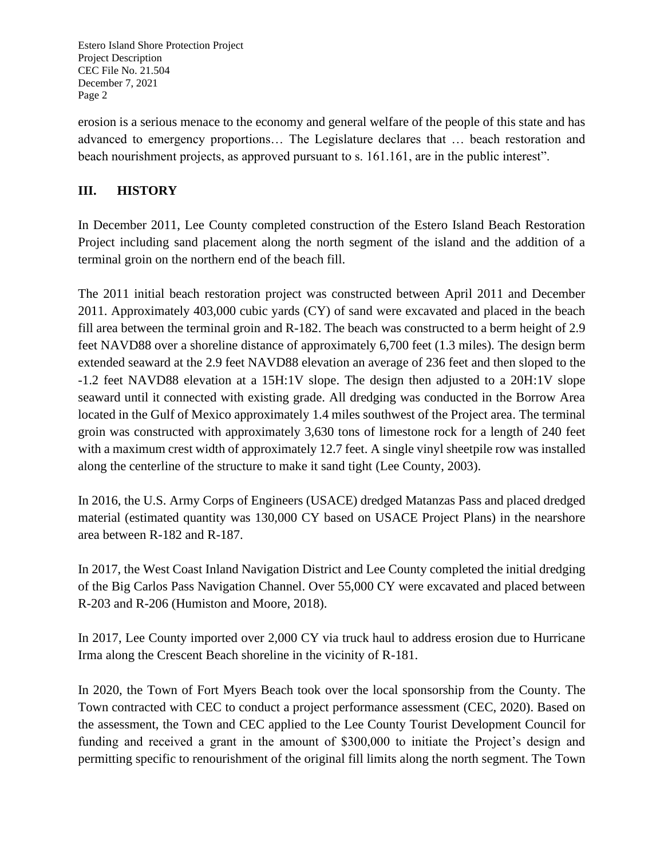erosion is a serious menace to the economy and general welfare of the people of this state and has advanced to emergency proportions… The Legislature declares that … beach restoration and beach nourishment projects, as approved pursuant to s. 161.161, are in the public interest".

## **III. HISTORY**

In December 2011, Lee County completed construction of the Estero Island Beach Restoration Project including sand placement along the north segment of the island and the addition of a terminal groin on the northern end of the beach fill.

The 2011 initial beach restoration project was constructed between April 2011 and December 2011. Approximately 403,000 cubic yards (CY) of sand were excavated and placed in the beach fill area between the terminal groin and R-182. The beach was constructed to a berm height of 2.9 feet NAVD88 over a shoreline distance of approximately 6,700 feet (1.3 miles). The design berm extended seaward at the 2.9 feet NAVD88 elevation an average of 236 feet and then sloped to the -1.2 feet NAVD88 elevation at a 15H:1V slope. The design then adjusted to a 20H:1V slope seaward until it connected with existing grade. All dredging was conducted in the Borrow Area located in the Gulf of Mexico approximately 1.4 miles southwest of the Project area. The terminal groin was constructed with approximately 3,630 tons of limestone rock for a length of 240 feet with a maximum crest width of approximately 12.7 feet. A single vinyl sheetpile row was installed along the centerline of the structure to make it sand tight (Lee County, 2003).

In 2016, the U.S. Army Corps of Engineers (USACE) dredged Matanzas Pass and placed dredged material (estimated quantity was 130,000 CY based on USACE Project Plans) in the nearshore area between R-182 and R-187.

In 2017, the West Coast Inland Navigation District and Lee County completed the initial dredging of the Big Carlos Pass Navigation Channel. Over 55,000 CY were excavated and placed between R-203 and R-206 (Humiston and Moore, 2018).

In 2017, Lee County imported over 2,000 CY via truck haul to address erosion due to Hurricane Irma along the Crescent Beach shoreline in the vicinity of R-181.

In 2020, the Town of Fort Myers Beach took over the local sponsorship from the County. The Town contracted with CEC to conduct a project performance assessment (CEC, 2020). Based on the assessment, the Town and CEC applied to the Lee County Tourist Development Council for funding and received a grant in the amount of \$300,000 to initiate the Project's design and permitting specific to renourishment of the original fill limits along the north segment. The Town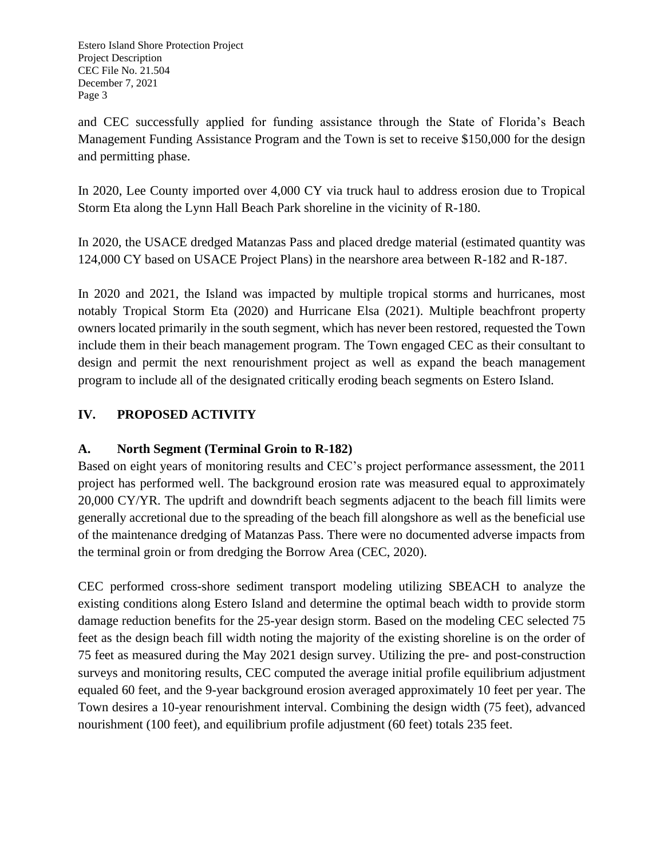and CEC successfully applied for funding assistance through the State of Florida's Beach Management Funding Assistance Program and the Town is set to receive \$150,000 for the design and permitting phase.

In 2020, Lee County imported over 4,000 CY via truck haul to address erosion due to Tropical Storm Eta along the Lynn Hall Beach Park shoreline in the vicinity of R-180.

In 2020, the USACE dredged Matanzas Pass and placed dredge material (estimated quantity was 124,000 CY based on USACE Project Plans) in the nearshore area between R-182 and R-187.

In 2020 and 2021, the Island was impacted by multiple tropical storms and hurricanes, most notably Tropical Storm Eta (2020) and Hurricane Elsa (2021). Multiple beachfront property owners located primarily in the south segment, which has never been restored, requested the Town include them in their beach management program. The Town engaged CEC as their consultant to design and permit the next renourishment project as well as expand the beach management program to include all of the designated critically eroding beach segments on Estero Island.

# **IV. PROPOSED ACTIVITY**

# **A. North Segment (Terminal Groin to R-182)**

Based on eight years of monitoring results and CEC's project performance assessment, the 2011 project has performed well. The background erosion rate was measured equal to approximately 20,000 CY/YR. The updrift and downdrift beach segments adjacent to the beach fill limits were generally accretional due to the spreading of the beach fill alongshore as well as the beneficial use of the maintenance dredging of Matanzas Pass. There were no documented adverse impacts from the terminal groin or from dredging the Borrow Area (CEC, 2020).

CEC performed cross-shore sediment transport modeling utilizing SBEACH to analyze the existing conditions along Estero Island and determine the optimal beach width to provide storm damage reduction benefits for the 25-year design storm. Based on the modeling CEC selected 75 feet as the design beach fill width noting the majority of the existing shoreline is on the order of 75 feet as measured during the May 2021 design survey. Utilizing the pre- and post-construction surveys and monitoring results, CEC computed the average initial profile equilibrium adjustment equaled 60 feet, and the 9-year background erosion averaged approximately 10 feet per year. The Town desires a 10-year renourishment interval. Combining the design width (75 feet), advanced nourishment (100 feet), and equilibrium profile adjustment (60 feet) totals 235 feet.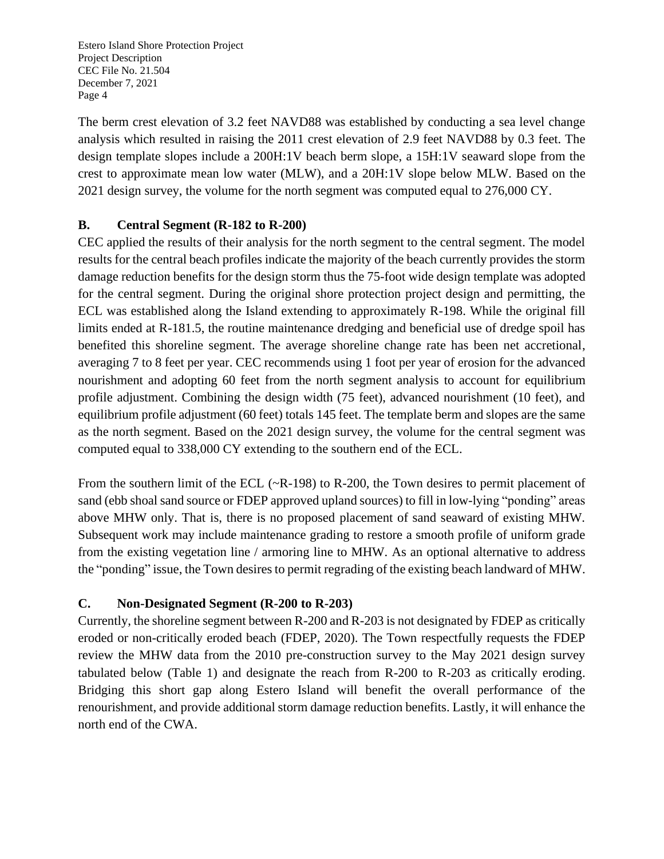The berm crest elevation of 3.2 feet NAVD88 was established by conducting a sea level change analysis which resulted in raising the 2011 crest elevation of 2.9 feet NAVD88 by 0.3 feet. The design template slopes include a 200H:1V beach berm slope, a 15H:1V seaward slope from the crest to approximate mean low water (MLW), and a 20H:1V slope below MLW. Based on the 2021 design survey, the volume for the north segment was computed equal to 276,000 CY.

## **B. Central Segment (R-182 to R-200)**

CEC applied the results of their analysis for the north segment to the central segment. The model results for the central beach profiles indicate the majority of the beach currently provides the storm damage reduction benefits for the design storm thus the 75-foot wide design template was adopted for the central segment. During the original shore protection project design and permitting, the ECL was established along the Island extending to approximately R-198. While the original fill limits ended at R-181.5, the routine maintenance dredging and beneficial use of dredge spoil has benefited this shoreline segment. The average shoreline change rate has been net accretional, averaging 7 to 8 feet per year. CEC recommends using 1 foot per year of erosion for the advanced nourishment and adopting 60 feet from the north segment analysis to account for equilibrium profile adjustment. Combining the design width (75 feet), advanced nourishment (10 feet), and equilibrium profile adjustment (60 feet) totals 145 feet. The template berm and slopes are the same as the north segment. Based on the 2021 design survey, the volume for the central segment was computed equal to 338,000 CY extending to the southern end of the ECL.

From the southern limit of the ECL (~R-198) to R-200, the Town desires to permit placement of sand (ebb shoal sand source or FDEP approved upland sources) to fill in low-lying "ponding" areas above MHW only. That is, there is no proposed placement of sand seaward of existing MHW. Subsequent work may include maintenance grading to restore a smooth profile of uniform grade from the existing vegetation line / armoring line to MHW. As an optional alternative to address the "ponding" issue, the Town desires to permit regrading of the existing beach landward of MHW.

### **C. Non-Designated Segment (R-200 to R-203)**

Currently, the shoreline segment between R-200 and R-203 is not designated by FDEP as critically eroded or non-critically eroded beach (FDEP, 2020). The Town respectfully requests the FDEP review the MHW data from the 2010 pre-construction survey to the May 2021 design survey tabulated below (Table 1) and designate the reach from R-200 to R-203 as critically eroding. Bridging this short gap along Estero Island will benefit the overall performance of the renourishment, and provide additional storm damage reduction benefits. Lastly, it will enhance the north end of the CWA.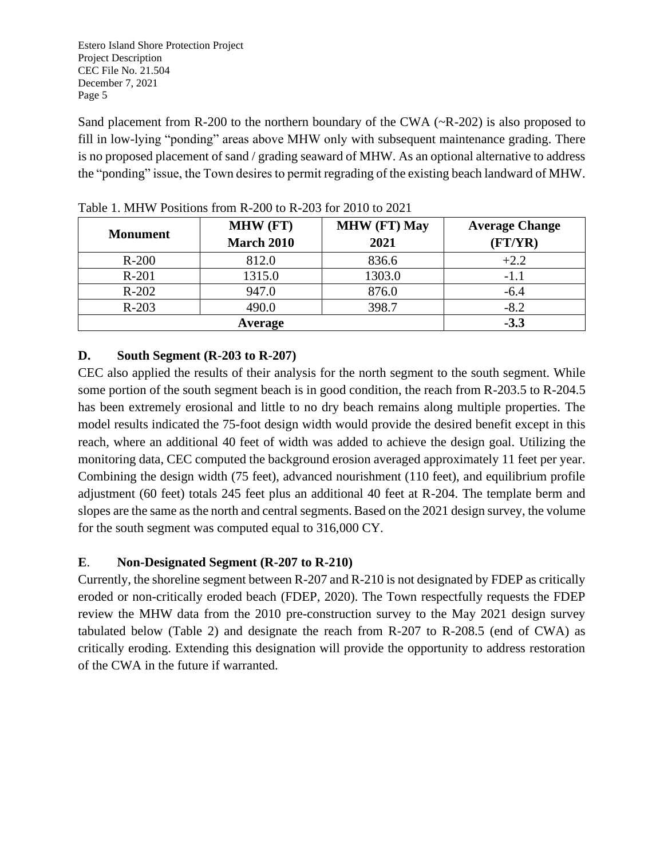Sand placement from R-200 to the northern boundary of the CWA ( $\sim$ R-202) is also proposed to fill in low-lying "ponding" areas above MHW only with subsequent maintenance grading. There is no proposed placement of sand / grading seaward of MHW. As an optional alternative to address the "ponding" issue, the Town desires to permit regrading of the existing beach landward of MHW.

| <b>Monument</b> | <b>MHW (FT)</b><br><b>March 2010</b> | <b>MHW (FT) May</b><br>2021 | <b>Average Change</b><br>(FT/YR) |
|-----------------|--------------------------------------|-----------------------------|----------------------------------|
| $R-200$         | 812.0                                | 836.6                       | $+2.2$                           |
| $R-201$         | 1315.0                               | 1303.0                      | $-1.1$                           |
| $R-202$         | 947.0                                | 876.0                       | $-6.4$                           |
| $R-203$         | 490.0                                | 398.7                       | $-8.2$                           |
|                 | $-3.3$                               |                             |                                  |

Table 1. MHW Positions from R-200 to R-203 for 2010 to 2021

# **D. South Segment (R-203 to R-207)**

CEC also applied the results of their analysis for the north segment to the south segment. While some portion of the south segment beach is in good condition, the reach from R-203.5 to R-204.5 has been extremely erosional and little to no dry beach remains along multiple properties. The model results indicated the 75-foot design width would provide the desired benefit except in this reach, where an additional 40 feet of width was added to achieve the design goal. Utilizing the monitoring data, CEC computed the background erosion averaged approximately 11 feet per year. Combining the design width (75 feet), advanced nourishment (110 feet), and equilibrium profile adjustment (60 feet) totals 245 feet plus an additional 40 feet at R-204. The template berm and slopes are the same as the north and central segments. Based on the 2021 design survey, the volume for the south segment was computed equal to 316,000 CY.

# **E**. **Non-Designated Segment (R-207 to R-210)**

Currently, the shoreline segment between R-207 and R-210 is not designated by FDEP as critically eroded or non-critically eroded beach (FDEP, 2020). The Town respectfully requests the FDEP review the MHW data from the 2010 pre-construction survey to the May 2021 design survey tabulated below (Table 2) and designate the reach from R-207 to R-208.5 (end of CWA) as critically eroding. Extending this designation will provide the opportunity to address restoration of the CWA in the future if warranted.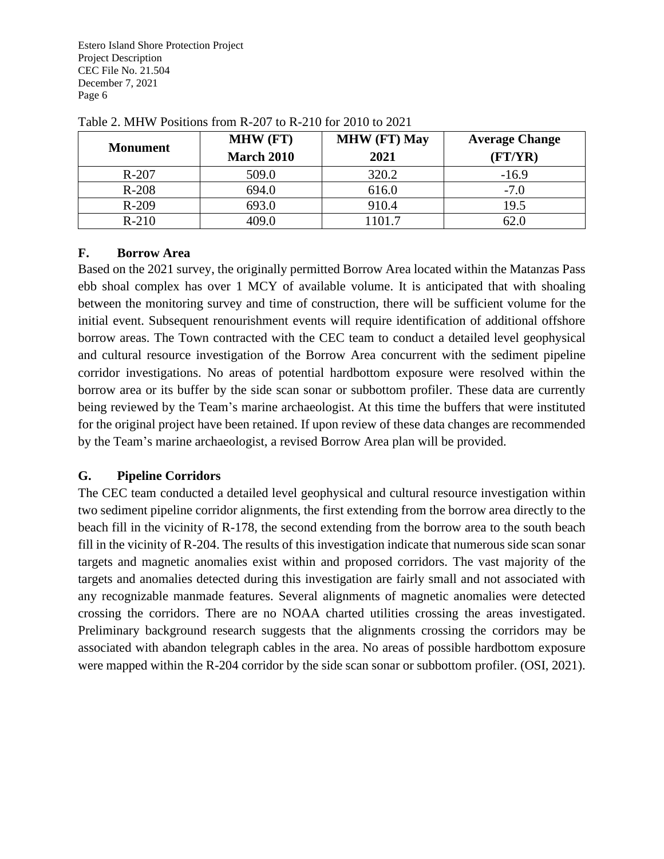| <b>Monument</b> | <b>MHW (FT)</b>   | <b>MHW (FT) May</b> | <b>Average Change</b> |
|-----------------|-------------------|---------------------|-----------------------|
|                 | <b>March 2010</b> | 2021                | (FT/YR)               |
| $R-207$         | 509.0             | 320.2               | $-16.9$               |
| $R-208$         | 694.0             | 616.0               | $-7.0$                |
| $R-209$         | 693.0             | 910.4               | 19.5                  |
| $R-210$         | 409.0             | 1101.7              | 62.0                  |

Table 2. MHW Positions from R-207 to R-210 for 2010 to 2021

### **F. Borrow Area**

Based on the 2021 survey, the originally permitted Borrow Area located within the Matanzas Pass ebb shoal complex has over 1 MCY of available volume. It is anticipated that with shoaling between the monitoring survey and time of construction, there will be sufficient volume for the initial event. Subsequent renourishment events will require identification of additional offshore borrow areas. The Town contracted with the CEC team to conduct a detailed level geophysical and cultural resource investigation of the Borrow Area concurrent with the sediment pipeline corridor investigations. No areas of potential hardbottom exposure were resolved within the borrow area or its buffer by the side scan sonar or subbottom profiler. These data are currently being reviewed by the Team's marine archaeologist. At this time the buffers that were instituted for the original project have been retained. If upon review of these data changes are recommended by the Team's marine archaeologist, a revised Borrow Area plan will be provided.

# **G. Pipeline Corridors**

The CEC team conducted a detailed level geophysical and cultural resource investigation within two sediment pipeline corridor alignments, the first extending from the borrow area directly to the beach fill in the vicinity of R-178, the second extending from the borrow area to the south beach fill in the vicinity of R-204. The results of this investigation indicate that numerous side scan sonar targets and magnetic anomalies exist within and proposed corridors. The vast majority of the targets and anomalies detected during this investigation are fairly small and not associated with any recognizable manmade features. Several alignments of magnetic anomalies were detected crossing the corridors. There are no NOAA charted utilities crossing the areas investigated. Preliminary background research suggests that the alignments crossing the corridors may be associated with abandon telegraph cables in the area. No areas of possible hardbottom exposure were mapped within the R-204 corridor by the side scan sonar or subbottom profiler. (OSI, 2021).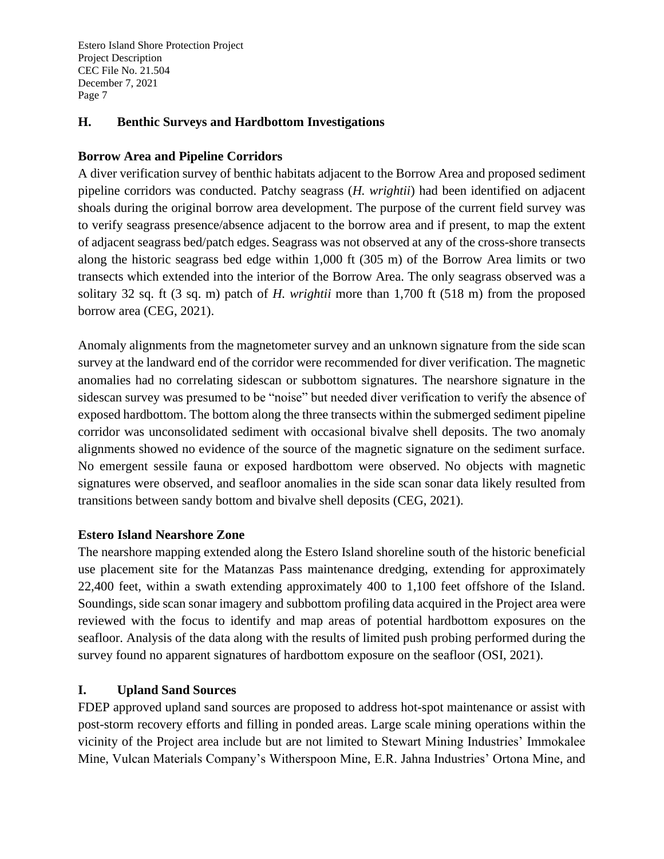### **H. Benthic Surveys and Hardbottom Investigations**

#### **Borrow Area and Pipeline Corridors**

A diver verification survey of benthic habitats adjacent to the Borrow Area and proposed sediment pipeline corridors was conducted. Patchy seagrass (*H. wrightii*) had been identified on adjacent shoals during the original borrow area development. The purpose of the current field survey was to verify seagrass presence/absence adjacent to the borrow area and if present, to map the extent of adjacent seagrass bed/patch edges. Seagrass was not observed at any of the cross-shore transects along the historic seagrass bed edge within 1,000 ft (305 m) of the Borrow Area limits or two transects which extended into the interior of the Borrow Area. The only seagrass observed was a solitary 32 sq. ft (3 sq. m) patch of *H. wrightii* more than 1,700 ft (518 m) from the proposed borrow area (CEG, 2021).

Anomaly alignments from the magnetometer survey and an unknown signature from the side scan survey at the landward end of the corridor were recommended for diver verification. The magnetic anomalies had no correlating sidescan or subbottom signatures. The nearshore signature in the sidescan survey was presumed to be "noise" but needed diver verification to verify the absence of exposed hardbottom. The bottom along the three transects within the submerged sediment pipeline corridor was unconsolidated sediment with occasional bivalve shell deposits. The two anomaly alignments showed no evidence of the source of the magnetic signature on the sediment surface. No emergent sessile fauna or exposed hardbottom were observed. No objects with magnetic signatures were observed, and seafloor anomalies in the side scan sonar data likely resulted from transitions between sandy bottom and bivalve shell deposits (CEG, 2021).

### **Estero Island Nearshore Zone**

The nearshore mapping extended along the Estero Island shoreline south of the historic beneficial use placement site for the Matanzas Pass maintenance dredging, extending for approximately 22,400 feet, within a swath extending approximately 400 to 1,100 feet offshore of the Island. Soundings, side scan sonar imagery and subbottom profiling data acquired in the Project area were reviewed with the focus to identify and map areas of potential hardbottom exposures on the seafloor. Analysis of the data along with the results of limited push probing performed during the survey found no apparent signatures of hardbottom exposure on the seafloor (OSI, 2021).

### **I. Upland Sand Sources**

FDEP approved upland sand sources are proposed to address hot-spot maintenance or assist with post-storm recovery efforts and filling in ponded areas. Large scale mining operations within the vicinity of the Project area include but are not limited to Stewart Mining Industries' Immokalee Mine, Vulcan Materials Company's Witherspoon Mine, E.R. Jahna Industries' Ortona Mine, and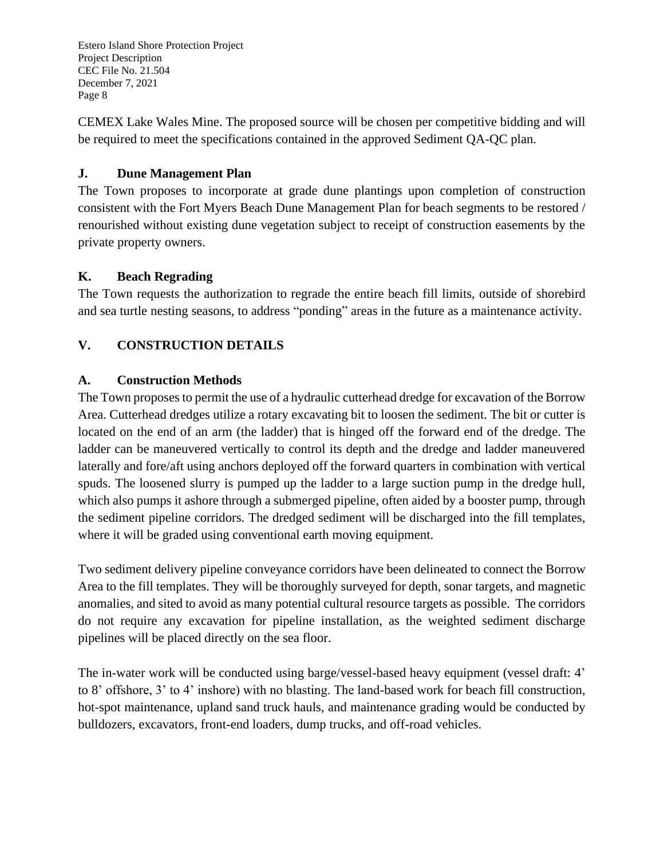CEMEX Lake Wales Mine. The proposed source will be chosen per competitive bidding and will be required to meet the specifications contained in the approved Sediment QA-QC plan.

## **J. Dune Management Plan**

The Town proposes to incorporate at grade dune plantings upon completion of construction consistent with the Fort Myers Beach Dune Management Plan for beach segments to be restored / renourished without existing dune vegetation subject to receipt of construction easements by the private property owners.

## **K. Beach Regrading**

The Town requests the authorization to regrade the entire beach fill limits, outside of shorebird and sea turtle nesting seasons, to address "ponding" areas in the future as a maintenance activity.

# **V. CONSTRUCTION DETAILS**

## **A. Construction Methods**

The Town proposes to permit the use of a hydraulic cutterhead dredge for excavation of the Borrow Area. Cutterhead dredges utilize a rotary excavating bit to loosen the sediment. The bit or cutter is located on the end of an arm (the ladder) that is hinged off the forward end of the dredge. The ladder can be maneuvered vertically to control its depth and the dredge and ladder maneuvered laterally and fore/aft using anchors deployed off the forward quarters in combination with vertical spuds. The loosened slurry is pumped up the ladder to a large suction pump in the dredge hull, which also pumps it ashore through a submerged pipeline, often aided by a booster pump, through the sediment pipeline corridors. The dredged sediment will be discharged into the fill templates, where it will be graded using conventional earth moving equipment.

Two sediment delivery pipeline conveyance corridors have been delineated to connect the Borrow Area to the fill templates. They will be thoroughly surveyed for depth, sonar targets, and magnetic anomalies, and sited to avoid as many potential cultural resource targets as possible. The corridors do not require any excavation for pipeline installation, as the weighted sediment discharge pipelines will be placed directly on the sea floor.

The in-water work will be conducted using barge/vessel-based heavy equipment (vessel draft: 4' to 8' offshore, 3' to 4' inshore) with no blasting. The land-based work for beach fill construction, hot-spot maintenance, upland sand truck hauls, and maintenance grading would be conducted by bulldozers, excavators, front-end loaders, dump trucks, and off-road vehicles.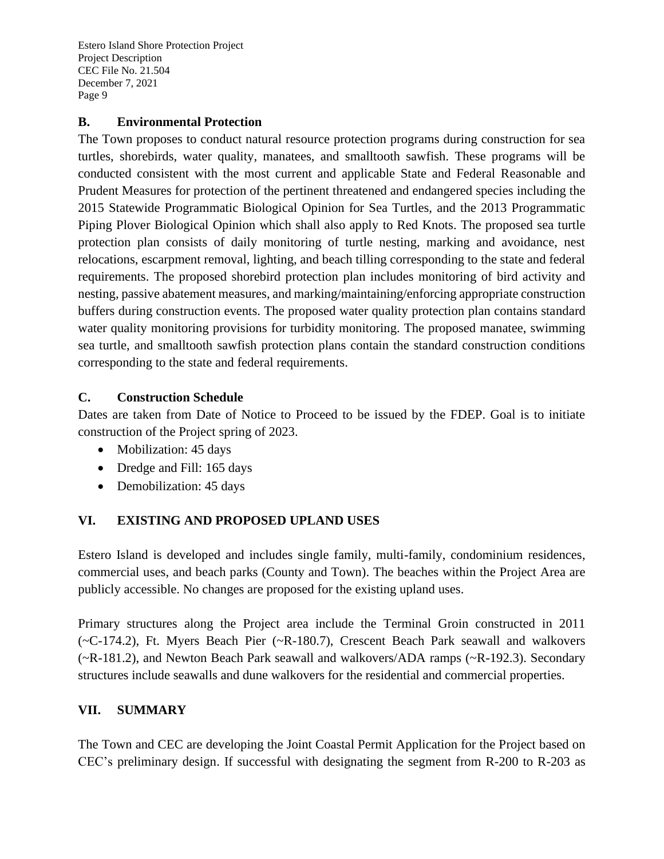## **B. Environmental Protection**

The Town proposes to conduct natural resource protection programs during construction for sea turtles, shorebirds, water quality, manatees, and smalltooth sawfish. These programs will be conducted consistent with the most current and applicable State and Federal Reasonable and Prudent Measures for protection of the pertinent threatened and endangered species including the 2015 Statewide Programmatic Biological Opinion for Sea Turtles, and the 2013 Programmatic Piping Plover Biological Opinion which shall also apply to Red Knots. The proposed sea turtle protection plan consists of daily monitoring of turtle nesting, marking and avoidance, nest relocations, escarpment removal, lighting, and beach tilling corresponding to the state and federal requirements. The proposed shorebird protection plan includes monitoring of bird activity and nesting, passive abatement measures, and marking/maintaining/enforcing appropriate construction buffers during construction events. The proposed water quality protection plan contains standard water quality monitoring provisions for turbidity monitoring. The proposed manatee, swimming sea turtle, and smalltooth sawfish protection plans contain the standard construction conditions corresponding to the state and federal requirements.

## **C. Construction Schedule**

Dates are taken from Date of Notice to Proceed to be issued by the FDEP. Goal is to initiate construction of the Project spring of 2023.

- Mobilization: 45 days
- Dredge and Fill: 165 days
- Demobilization: 45 days

# **VI. EXISTING AND PROPOSED UPLAND USES**

Estero Island is developed and includes single family, multi-family, condominium residences, commercial uses, and beach parks (County and Town). The beaches within the Project Area are publicly accessible. No changes are proposed for the existing upland uses.

Primary structures along the Project area include the Terminal Groin constructed in 2011 (~C-174.2), Ft. Myers Beach Pier (~R-180.7), Crescent Beach Park seawall and walkovers (~R-181.2), and Newton Beach Park seawall and walkovers/ADA ramps (~R-192.3). Secondary structures include seawalls and dune walkovers for the residential and commercial properties.

### **VII. SUMMARY**

The Town and CEC are developing the Joint Coastal Permit Application for the Project based on CEC's preliminary design. If successful with designating the segment from R-200 to R-203 as